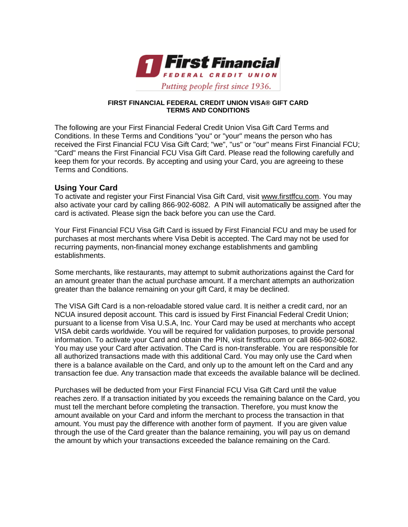

#### **FIRST FINANCIAL FEDERAL CREDIT UNION VISA® GIFT CARD TERMS AND CONDITIONS**

The following are your First Financial Federal Credit Union Visa Gift Card Terms and Conditions. In these Terms and Conditions "you" or "your" means the person who has received the First Financial FCU Visa Gift Card; "we", "us" or "our" means First Financial FCU; "Card" means the First Financial FCU Visa Gift Card. Please read the following carefully and keep them for your records. By accepting and using your Card, you are agreeing to these Terms and Conditions.

### **Using Your Card**

To activate and register your First Financial Visa Gift Card, visit [www.firstffcu.com.](http://www.firstffcu.com/) You may also activate your card by calling 866-902-6082. A PIN will automatically be assigned after the card is activated. Please sign the back before you can use the Card.

Your First Financial FCU Visa Gift Card is issued by First Financial FCU and may be used for purchases at most merchants where Visa Debit is accepted. The Card may not be used for recurring payments, non-financial money exchange establishments and gambling establishments.

Some merchants, like restaurants, may attempt to submit authorizations against the Card for an amount greater than the actual purchase amount. If a merchant attempts an authorization greater than the balance remaining on your gift Card, it may be declined.

The VISA Gift Card is a non-reloadable stored value card. It is neither a credit card, nor an NCUA insured deposit account. This card is issued by First Financial Federal Credit Union; pursuant to a license from Visa U.S.A, Inc. Your Card may be used at merchants who accept VISA debit cards worldwide. You will be required for validation purposes, to provide personal information. To activate your Card and obtain the PIN, visit firstffcu.com or call 866-902-6082. You may use your Card after activation. The Card is non-transferable. You are responsible for all authorized transactions made with this additional Card. You may only use the Card when there is a balance available on the Card, and only up to the amount left on the Card and any transaction fee due. Any transaction made that exceeds the available balance will be declined.

Purchases will be deducted from your First Financial FCU Visa Gift Card until the value reaches zero. If a transaction initiated by you exceeds the remaining balance on the Card, you must tell the merchant before completing the transaction. Therefore, you must know the amount available on your Card and inform the merchant to process the transaction in that amount. You must pay the difference with another form of payment. If you are given value through the use of the Card greater than the balance remaining, you will pay us on demand the amount by which your transactions exceeded the balance remaining on the Card.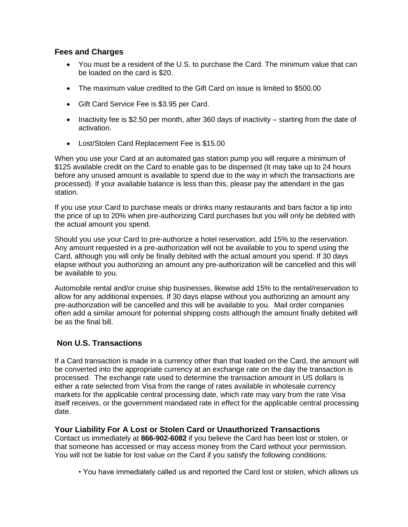# **Fees and Charges**

- You must be a resident of the U.S. to purchase the Card. The minimum value that can be loaded on the card is \$20.
- The maximum value credited to the Gift Card on issue is limited to \$500.00
- Gift Card Service Fee is \$3.95 per Card.
- Inactivity fee is \$2.50 per month, after 360 days of inactivity starting from the date of activation.
- Lost/Stolen Card Replacement Fee is \$15.00

When you use your Card at an automated gas station pump you will require a minimum of \$125 available credit on the Card to enable gas to be dispensed (It may take up to 24 hours before any unused amount is available to spend due to the way in which the transactions are processed). If your available balance is less than this, please pay the attendant in the gas station.

If you use your Card to purchase meals or drinks many restaurants and bars factor a tip into the price of up to 20% when pre-authorizing Card purchases but you will only be debited with the actual amount you spend.

Should you use your Card to pre-authorize a hotel reservation, add 15% to the reservation. Any amount requested in a pre-authorization will not be available to you to spend using the Card, although you will only be finally debited with the actual amount you spend. If 30 days elapse without you authorizing an amount any pre-authorization will be cancelled and this will be available to you.

Automobile rental and/or cruise ship businesses, likewise add 15% to the rental/reservation to allow for any additional expenses. If 30 days elapse without you authorizing an amount any pre-authorization will be cancelled and this will be available to you. Mail order companies often add a similar amount for potential shipping costs although the amount finally debited will be as the final bill.

# **Non U.S. Transactions**

If a Card transaction is made in a currency other than that loaded on the Card, the amount will be converted into the appropriate currency at an exchange rate on the day the transaction is processed. The exchange rate used to determine the transaction amount in US dollars is either a rate selected from Visa from the range of rates available in wholesale currency markets for the applicable central processing date, which rate may vary from the rate Visa itself receives, or the government mandated rate in effect for the applicable central processing date.

### **Your Liability For A Lost or Stolen Card or Unauthorized Transactions**

Contact us immediately at **866-902-6082** if you believe the Card has been lost or stolen, or that someone has accessed or may access money from the Card without your permission. You will not be liable for lost value on the Card if you satisfy the following conditions:

• You have immediately called us and reported the Card lost or stolen, which allows us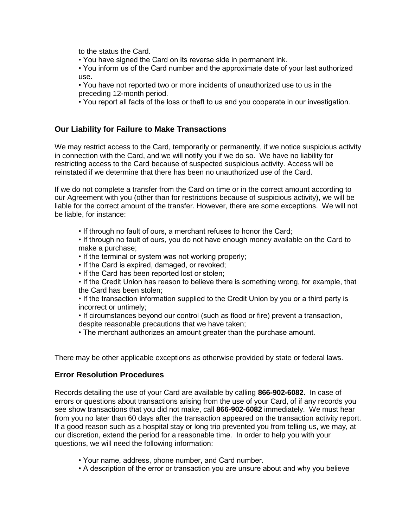to the status the Card.

• You have signed the Card on its reverse side in permanent ink.

• You inform us of the Card number and the approximate date of your last authorized use.

• You have not reported two or more incidents of unauthorized use to us in the preceding 12-month period.

• You report all facts of the loss or theft to us and you cooperate in our investigation.

## **Our Liability for Failure to Make Transactions**

We may restrict access to the Card, temporarily or permanently, if we notice suspicious activity in connection with the Card, and we will notify you if we do so. We have no liability for restricting access to the Card because of suspected suspicious activity. Access will be reinstated if we determine that there has been no unauthorized use of the Card.

If we do not complete a transfer from the Card on time or in the correct amount according to our Agreement with you (other than for restrictions because of suspicious activity), we will be liable for the correct amount of the transfer. However, there are some exceptions. We will not be liable, for instance:

• If through no fault of ours, a merchant refuses to honor the Card;

• If through no fault of ours, you do not have enough money available on the Card to make a purchase;

- If the terminal or system was not working properly;
- If the Card is expired, damaged, or revoked;
- If the Card has been reported lost or stolen;

• If the Credit Union has reason to believe there is something wrong, for example, that the Card has been stolen;

• If the transaction information supplied to the Credit Union by you or a third party is incorrect or untimely;

• If circumstances beyond our control (such as flood or fire) prevent a transaction, despite reasonable precautions that we have taken;

• The merchant authorizes an amount greater than the purchase amount.

There may be other applicable exceptions as otherwise provided by state or federal laws.

### **Error Resolution Procedures**

Records detailing the use of your Card are available by calling **866-902-6082**. In case of errors or questions about transactions arising from the use of your Card, of if any records you see show transactions that you did not make, call **866-902-6082** immediately. We must hear from you no later than 60 days after the transaction appeared on the transaction activity report. If a good reason such as a hospital stay or long trip prevented you from telling us, we may, at our discretion, extend the period for a reasonable time. In order to help you with your questions, we will need the following information:

- Your name, address, phone number, and Card number.
- A description of the error or transaction you are unsure about and why you believe